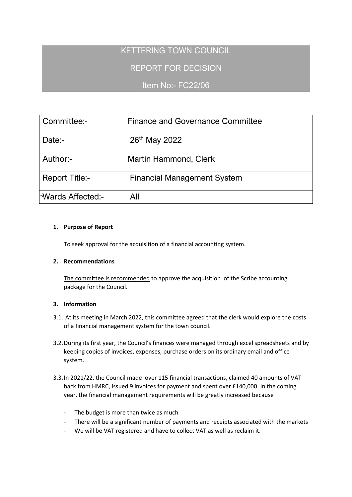# KETTERING TOWN COUNCIL

# REPORT FOR DECISION

## Item No:- FC22/06

| Committee:-                     | <b>Finance and Governance Committee</b> |  |  |
|---------------------------------|-----------------------------------------|--|--|
| Date:-                          | 26th May 2022                           |  |  |
| Author:-                        | <b>Martin Hammond, Clerk</b>            |  |  |
| <b>Report Title:-</b>           | <b>Financial Management System</b>      |  |  |
| l <sup>-</sup> Wards Affected:- | All                                     |  |  |

#### **1. Purpose of Report**

To seek approval for the acquisition of a financial accounting system.

### **2. Recommendations**

The committee is recommended to approve the acquisition of the Scribe accounting package for the Council.

### **3. Information**

- 3.1. At its meeting in March 2022, this committee agreed that the clerk would explore the costs of a financial management system for the town council.
- 3.2.During its first year, the Council's finances were managed through excel spreadsheets and by keeping copies of invoices, expenses, purchase orders on its ordinary email and office system.
- 3.3.In 2021/22, the Council made over 115 financial transactions, claimed 40 amounts of VAT back from HMRC, issued 9 invoices for payment and spent over £140,000. In the coming year, the financial management requirements will be greatly increased because
	- The budget is more than twice as much
	- There will be a significant number of payments and receipts associated with the markets
	- We will be VAT registered and have to collect VAT as well as reclaim it.